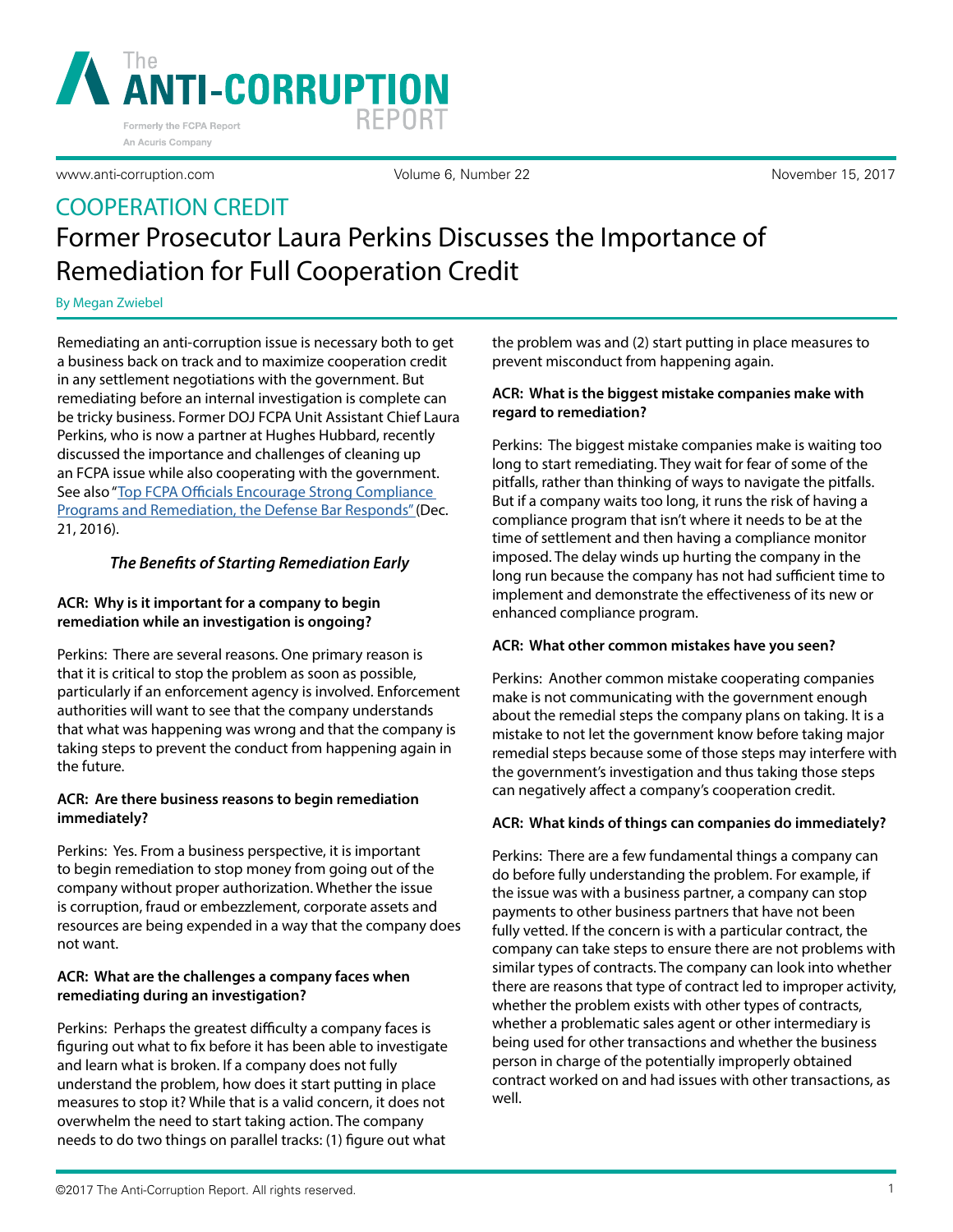

Volume 6, Number 22 November 15, 2017

# COOPERATION CREDIT Former Prosecutor Laura Perkins Discusses the Importance of Remediation for Full Cooperation Credit

By Megan Zwiebel

Remediating an anti-corruption issue is necessary both to get a business back on track and to maximize cooperation credit in any settlement negotiations with the government. But remediating before an internal investigation is complete can be tricky business. Former DOJ FCPA Unit Assistant Chief Laura Perkins, who is now a partner at Hughes Hubbard, recently discussed the importance and challenges of cleaning up an FCPA issue while also cooperating with the government. See also "[Top FCPA Officials Encourage Strong Compliance](https://www.anti-corruption.com/article/2453)  [Programs and Remediation, the Defense Bar Responds"](https://www.anti-corruption.com/article/2453) (Dec. 21, 2016).

# *The Benefits of Starting Remediation Early*

# **ACR: Why is it important for a company to begin remediation while an investigation is ongoing?**

Perkins: There are several reasons. One primary reason is that it is critical to stop the problem as soon as possible, particularly if an enforcement agency is involved. Enforcement authorities will want to see that the company understands that what was happening was wrong and that the company is taking steps to prevent the conduct from happening again in the future.

# **ACR: Are there business reasons to begin remediation immediately?**

Perkins: Yes. From a business perspective, it is important to begin remediation to stop money from going out of the company without proper authorization. Whether the issue is corruption, fraud or embezzlement, corporate assets and resources are being expended in a way that the company does not want.

#### **ACR: What are the challenges a company faces when remediating during an investigation?**

Perkins: Perhaps the greatest difficulty a company faces is figuring out what to fix before it has been able to investigate and learn what is broken. If a company does not fully understand the problem, how does it start putting in place measures to stop it? While that is a valid concern, it does not overwhelm the need to start taking action. The company needs to do two things on parallel tracks: (1) figure out what

the problem was and (2) start putting in place measures to prevent misconduct from happening again.

#### **ACR: What is the biggest mistake companies make with regard to remediation?**

Perkins: The biggest mistake companies make is waiting too long to start remediating. They wait for fear of some of the pitfalls, rather than thinking of ways to navigate the pitfalls. But if a company waits too long, it runs the risk of having a compliance program that isn't where it needs to be at the time of settlement and then having a compliance monitor imposed. The delay winds up hurting the company in the long run because the company has not had sufficient time to implement and demonstrate the effectiveness of its new or enhanced compliance program.

#### **ACR: What other common mistakes have you seen?**

Perkins: Another common mistake cooperating companies make is not communicating with the government enough about the remedial steps the company plans on taking. It is a mistake to not let the government know before taking major remedial steps because some of those steps may interfere with the government's investigation and thus taking those steps can negatively affect a company's cooperation credit.

#### **ACR: What kinds of things can companies do immediately?**

Perkins: There are a few fundamental things a company can do before fully understanding the problem. For example, if the issue was with a business partner, a company can stop payments to other business partners that have not been fully vetted. If the concern is with a particular contract, the company can take steps to ensure there are not problems with similar types of contracts. The company can look into whether there are reasons that type of contract led to improper activity, whether the problem exists with other types of contracts, whether a problematic sales agent or other intermediary is being used for other transactions and whether the business person in charge of the potentially improperly obtained contract worked on and had issues with other transactions, as well.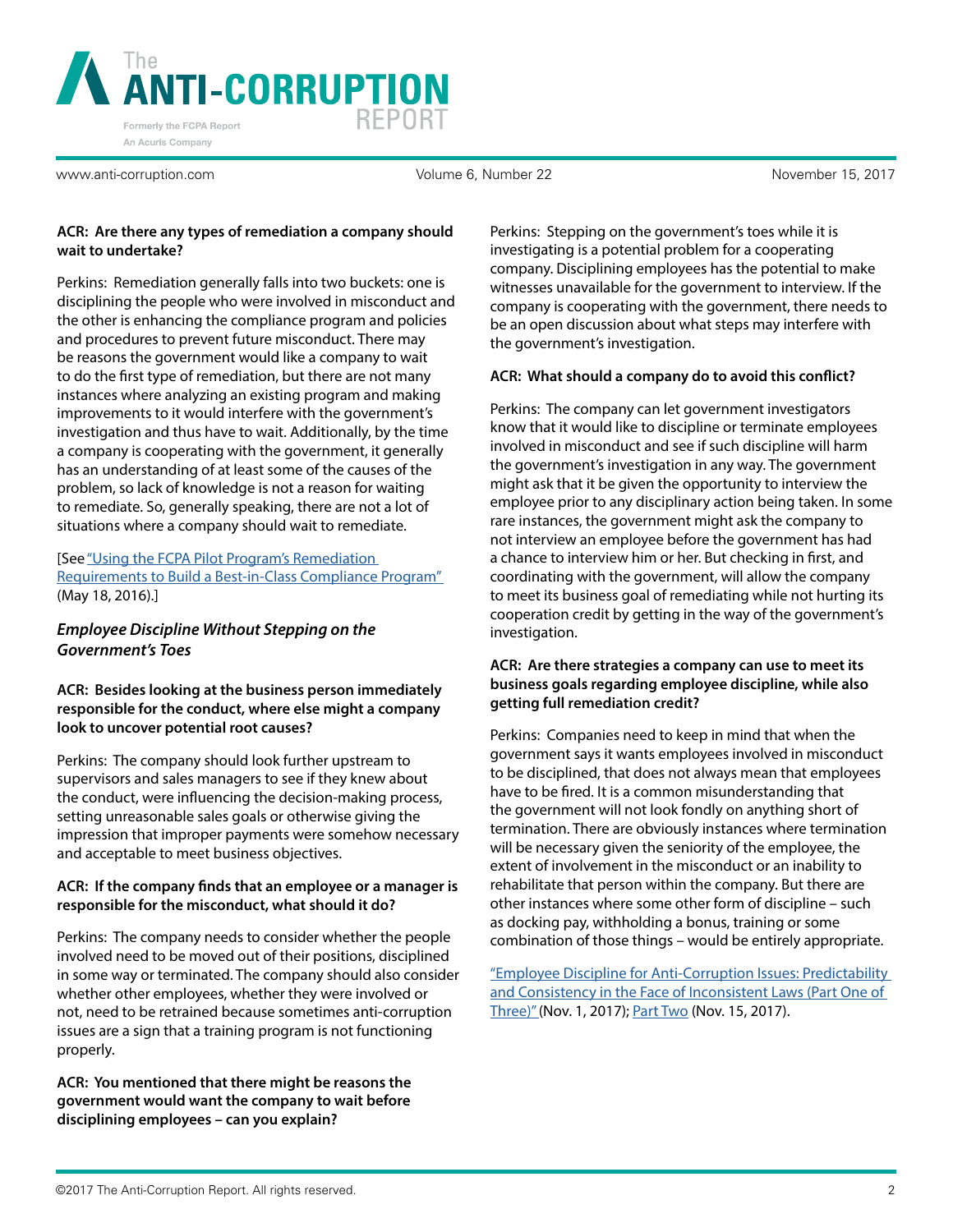

Volume 6, Number 22 November 15, 2017

#### **ACR: Are there any types of remediation a company should wait to undertake?**

Perkins: Remediation generally falls into two buckets: one is disciplining the people who were involved in misconduct and the other is enhancing the compliance program and policies and procedures to prevent future misconduct. There may be reasons the government would like a company to wait to do the first type of remediation, but there are not many instances where analyzing an existing program and making improvements to it would interfere with the government's investigation and thus have to wait. Additionally, by the time a company is cooperating with the government, it generally has an understanding of at least some of the causes of the problem, so lack of knowledge is not a reason for waiting to remediate. So, generally speaking, there are not a lot of situations where a company should wait to remediate.

# [See ["Using the FCPA Pilot Program's Remediation](https://www.anti-corruption.com/article/2322)  [Requirements to Build a Best-in-Class Compliance Program"](https://www.anti-corruption.com/article/2322)  (May 18, 2016).]

# *Employee Discipline Without Stepping on the Government's Toes*

# **ACR: Besides looking at the business person immediately responsible for the conduct, where else might a company look to uncover potential root causes?**

Perkins: The company should look further upstream to supervisors and sales managers to see if they knew about the conduct, were influencing the decision-making process, setting unreasonable sales goals or otherwise giving the impression that improper payments were somehow necessary and acceptable to meet business objectives.

# **ACR: If the company finds that an employee or a manager is responsible for the misconduct, what should it do?**

Perkins: The company needs to consider whether the people involved need to be moved out of their positions, disciplined in some way or terminated. The company should also consider whether other employees, whether they were involved or not, need to be retrained because sometimes anti-corruption issues are a sign that a training program is not functioning properly.

**ACR: You mentioned that there might be reasons the government would want the company to wait before disciplining employees – can you explain?**

Perkins: Stepping on the government's toes while it is investigating is a potential problem for a cooperating company. Disciplining employees has the potential to make witnesses unavailable for the government to interview. If the company is cooperating with the government, there needs to be an open discussion about what steps may interfere with the government's investigation.

# **ACR: What should a company do to avoid this conflict?**

Perkins: The company can let government investigators know that it would like to discipline or terminate employees involved in misconduct and see if such discipline will harm the government's investigation in any way. The government might ask that it be given the opportunity to interview the employee prior to any disciplinary action being taken. In some rare instances, the government might ask the company to not interview an employee before the government has had a chance to interview him or her. But checking in first, and coordinating with the government, will allow the company to meet its business goal of remediating while not hurting its cooperation credit by getting in the way of the government's investigation.

# **ACR: Are there strategies a company can use to meet its business goals regarding employee discipline, while also getting full remediation credit?**

Perkins: Companies need to keep in mind that when the government says it wants employees involved in misconduct to be disciplined, that does not always mean that employees have to be fired. It is a common misunderstanding that the government will not look fondly on anything short of termination. There are obviously instances where termination will be necessary given the seniority of the employee, the extent of involvement in the misconduct or an inability to rehabilitate that person within the company. But there are other instances where some other form of discipline – such as docking pay, withholding a bonus, training or some combination of those things – would be entirely appropriate.

["Employee Discipline for Anti-Corruption Issues: Predictability](https://www.anti-corruption.com/article/2654)  and Consistency in the Face of Inconsistent Laws (Part One of [Three\)"](https://www.anti-corruption.com/article/2654) (Nov. 1, 2017); [Part Two](https://www.anti-corruption.com/article/2662) (Nov. 15, 2017).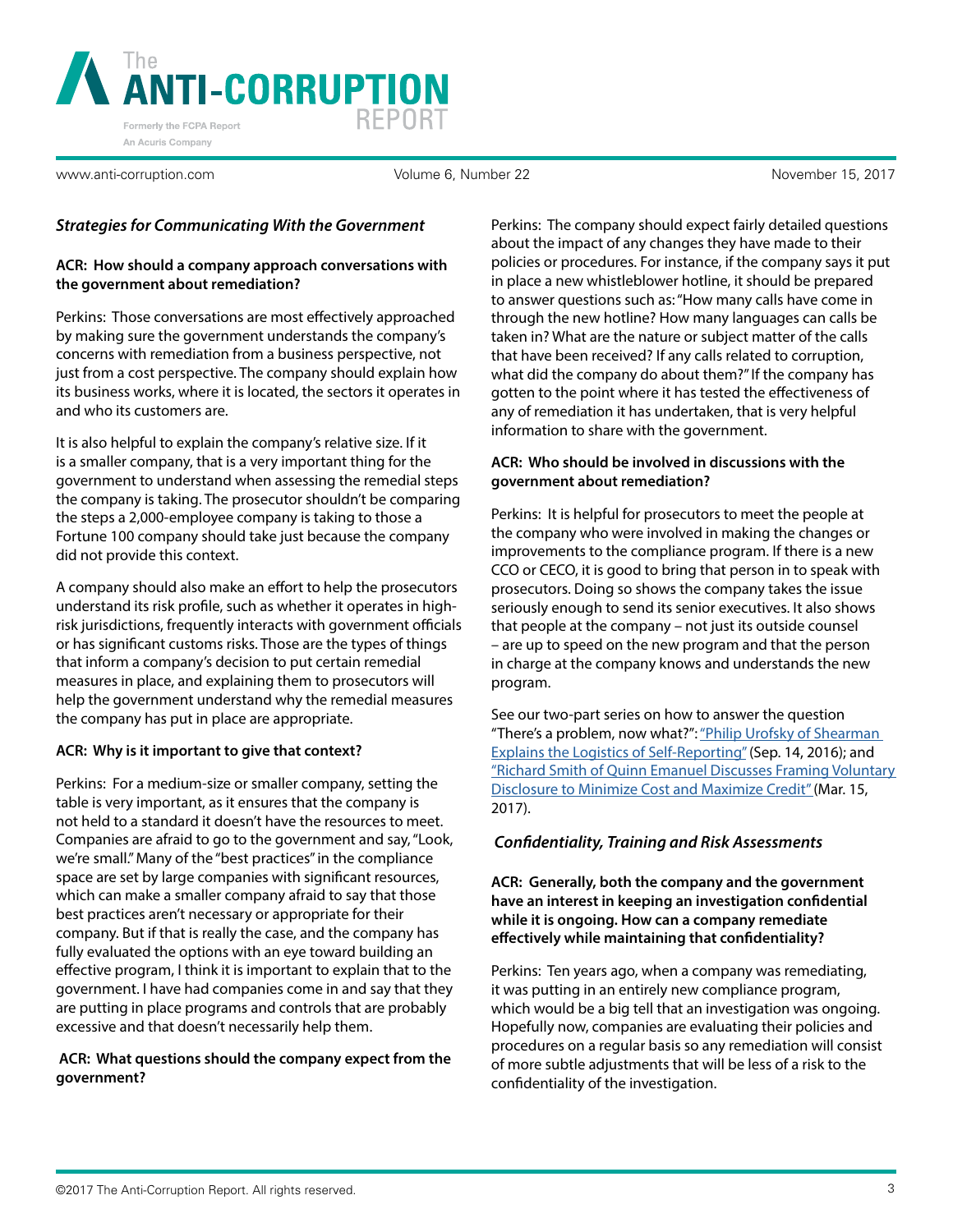

Volume 6, Number 22 November 15, 2017

# *Strategies for Communicating With the Government*

# **ACR: How should a company approach conversations with the government about remediation?**

Perkins: Those conversations are most effectively approached by making sure the government understands the company's concerns with remediation from a business perspective, not just from a cost perspective. The company should explain how its business works, where it is located, the sectors it operates in and who its customers are.

It is also helpful to explain the company's relative size. If it is a smaller company, that is a very important thing for the government to understand when assessing the remedial steps the company is taking. The prosecutor shouldn't be comparing the steps a 2,000-employee company is taking to those a Fortune 100 company should take just because the company did not provide this context.

A company should also make an effort to help the prosecutors understand its risk profile, such as whether it operates in highrisk jurisdictions, frequently interacts with government officials or has significant customs risks. Those are the types of things that inform a company's decision to put certain remedial measures in place, and explaining them to prosecutors will help the government understand why the remedial measures the company has put in place are appropriate.

#### **ACR: Why is it important to give that context?**

Perkins: For a medium-size or smaller company, setting the table is very important, as it ensures that the company is not held to a standard it doesn't have the resources to meet. Companies are afraid to go to the government and say, "Look, we're small." Many of the "best practices" in the compliance space are set by large companies with significant resources, which can make a smaller company afraid to say that those best practices aren't necessary or appropriate for their company. But if that is really the case, and the company has fully evaluated the options with an eye toward building an effective program, I think it is important to explain that to the government. I have had companies come in and say that they are putting in place programs and controls that are probably excessive and that doesn't necessarily help them.

# **ACR: What questions should the company expect from the government?**

Perkins: The company should expect fairly detailed questions about the impact of any changes they have made to their policies or procedures. For instance, if the company says it put in place a new whistleblower hotline, it should be prepared to answer questions such as: "How many calls have come in through the new hotline? How many languages can calls be taken in? What are the nature or subject matter of the calls that have been received? If any calls related to corruption, what did the company do about them?" If the company has gotten to the point where it has tested the effectiveness of any of remediation it has undertaken, that is very helpful information to share with the government.

# **ACR: Who should be involved in discussions with the government about remediation?**

Perkins: It is helpful for prosecutors to meet the people at the company who were involved in making the changes or improvements to the compliance program. If there is a new CCO or CECO, it is good to bring that person in to speak with prosecutors. Doing so shows the company takes the issue seriously enough to send its senior executives. It also shows that people at the company – not just its outside counsel – are up to speed on the new program and that the person in charge at the company knows and understands the new program.

See our two-part series on how to answer the question "There's a problem, now what?": "Philip Urofsky of Shearman [Explains the Logistics of Self-Reporting"](https://www.anti-corruption.com/article/2395) (Sep. 14, 2016); and ["Richard Smith of Quinn Emanuel Discusses Framing Voluntary](https://www.anti-corruption.com/article/2508)  [Disclosure to Minimize Cost and Maximize Credit" \(](https://www.anti-corruption.com/article/2508)Mar. 15, 2017).

# *Confidentiality, Training and Risk Assessments*

**ACR: Generally, both the company and the government have an interest in keeping an investigation confidential while it is ongoing. How can a company remediate effectively while maintaining that confidentiality?**

Perkins: Ten years ago, when a company was remediating, it was putting in an entirely new compliance program, which would be a big tell that an investigation was ongoing. Hopefully now, companies are evaluating their policies and procedures on a regular basis so any remediation will consist of more subtle adjustments that will be less of a risk to the confidentiality of the investigation.